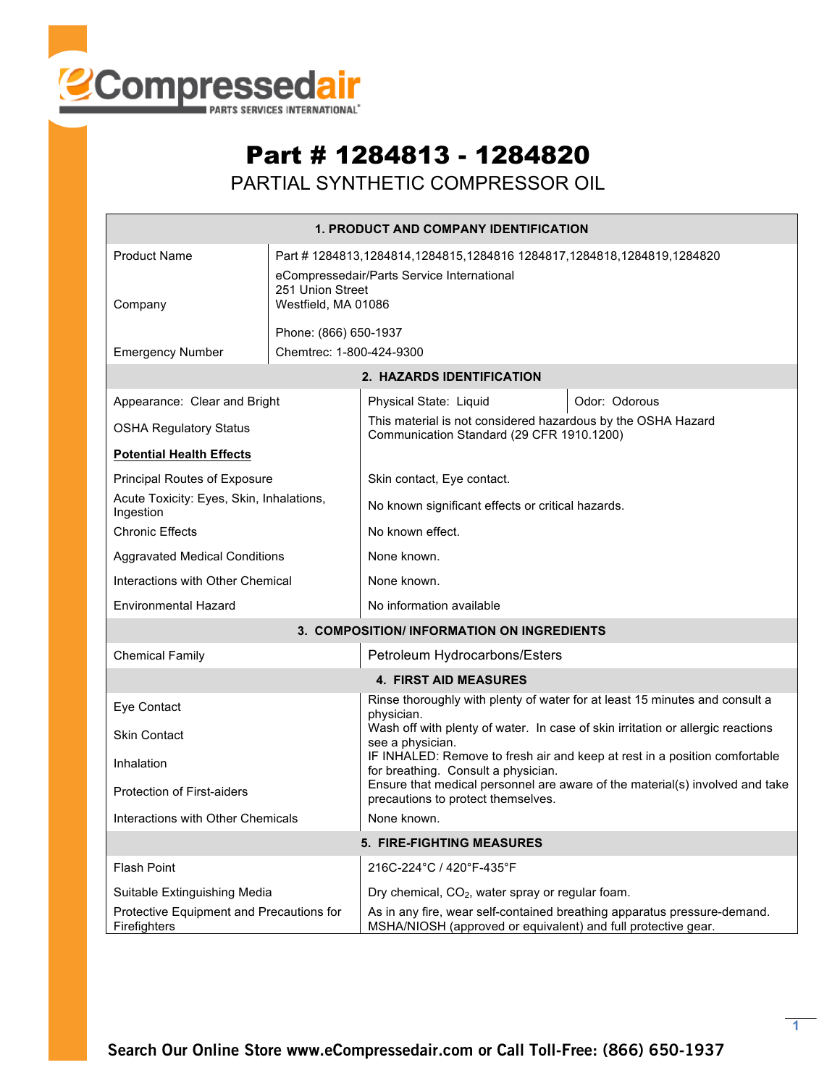

## Part # 1284813 - 1284820

PARTIAL SYNTHETIC COMPRESSOR OIL

|                                                                           |                          | <b>1. PRODUCT AND COMPANY IDENTIFICATION</b>                                                                                              |               |  |  |  |
|---------------------------------------------------------------------------|--------------------------|-------------------------------------------------------------------------------------------------------------------------------------------|---------------|--|--|--|
| <b>Product Name</b><br>251 Union Street<br>Westfield, MA 01086<br>Company |                          | Part #1284813,1284814,1284815,1284816 1284817,1284818,1284819,1284820<br>eCompressedair/Parts Service International                       |               |  |  |  |
|                                                                           |                          | Phone: (866) 650-1937                                                                                                                     |               |  |  |  |
| <b>Emergency Number</b>                                                   | Chemtrec: 1-800-424-9300 |                                                                                                                                           |               |  |  |  |
|                                                                           |                          | 2. HAZARDS IDENTIFICATION                                                                                                                 |               |  |  |  |
| Appearance: Clear and Bright                                              |                          | Physical State: Liquid                                                                                                                    | Odor: Odorous |  |  |  |
| <b>OSHA Regulatory Status</b>                                             |                          | This material is not considered hazardous by the OSHA Hazard<br>Communication Standard (29 CFR 1910.1200)                                 |               |  |  |  |
| <b>Potential Health Effects</b>                                           |                          |                                                                                                                                           |               |  |  |  |
| Principal Routes of Exposure                                              |                          | Skin contact, Eye contact.                                                                                                                |               |  |  |  |
| Acute Toxicity: Eyes, Skin, Inhalations,<br>Ingestion                     |                          | No known significant effects or critical hazards.                                                                                         |               |  |  |  |
| <b>Chronic Effects</b>                                                    |                          | No known effect.                                                                                                                          |               |  |  |  |
| <b>Aggravated Medical Conditions</b>                                      |                          | None known.                                                                                                                               |               |  |  |  |
| Interactions with Other Chemical                                          |                          | None known.                                                                                                                               |               |  |  |  |
| <b>Environmental Hazard</b>                                               |                          | No information available                                                                                                                  |               |  |  |  |
|                                                                           |                          | 3. COMPOSITION/ INFORMATION ON INGREDIENTS                                                                                                |               |  |  |  |
| <b>Chemical Family</b>                                                    |                          | Petroleum Hydrocarbons/Esters                                                                                                             |               |  |  |  |
|                                                                           |                          | <b>4. FIRST AID MEASURES</b>                                                                                                              |               |  |  |  |
| Eye Contact                                                               |                          | Rinse thoroughly with plenty of water for at least 15 minutes and consult a<br>physician.                                                 |               |  |  |  |
| <b>Skin Contact</b>                                                       |                          | Wash off with plenty of water. In case of skin irritation or allergic reactions<br>see a physician.                                       |               |  |  |  |
| Inhalation                                                                |                          | IF INHALED: Remove to fresh air and keep at rest in a position comfortable<br>for breathing. Consult a physician.                         |               |  |  |  |
| <b>Protection of First-aiders</b>                                         |                          | Ensure that medical personnel are aware of the material(s) involved and take<br>precautions to protect themselves.                        |               |  |  |  |
| Interactions with Other Chemicals                                         |                          | None known.                                                                                                                               |               |  |  |  |
| 5. FIRE-FIGHTING MEASURES                                                 |                          |                                                                                                                                           |               |  |  |  |
| <b>Flash Point</b>                                                        |                          | 216C-224°C / 420°F-435°F                                                                                                                  |               |  |  |  |
| Suitable Extinguishing Media                                              |                          | Dry chemical, CO <sub>2</sub> , water spray or regular foam.                                                                              |               |  |  |  |
| Protective Equipment and Precautions for<br>Firefighters                  |                          | As in any fire, wear self-contained breathing apparatus pressure-demand.<br>MSHA/NIOSH (approved or equivalent) and full protective gear. |               |  |  |  |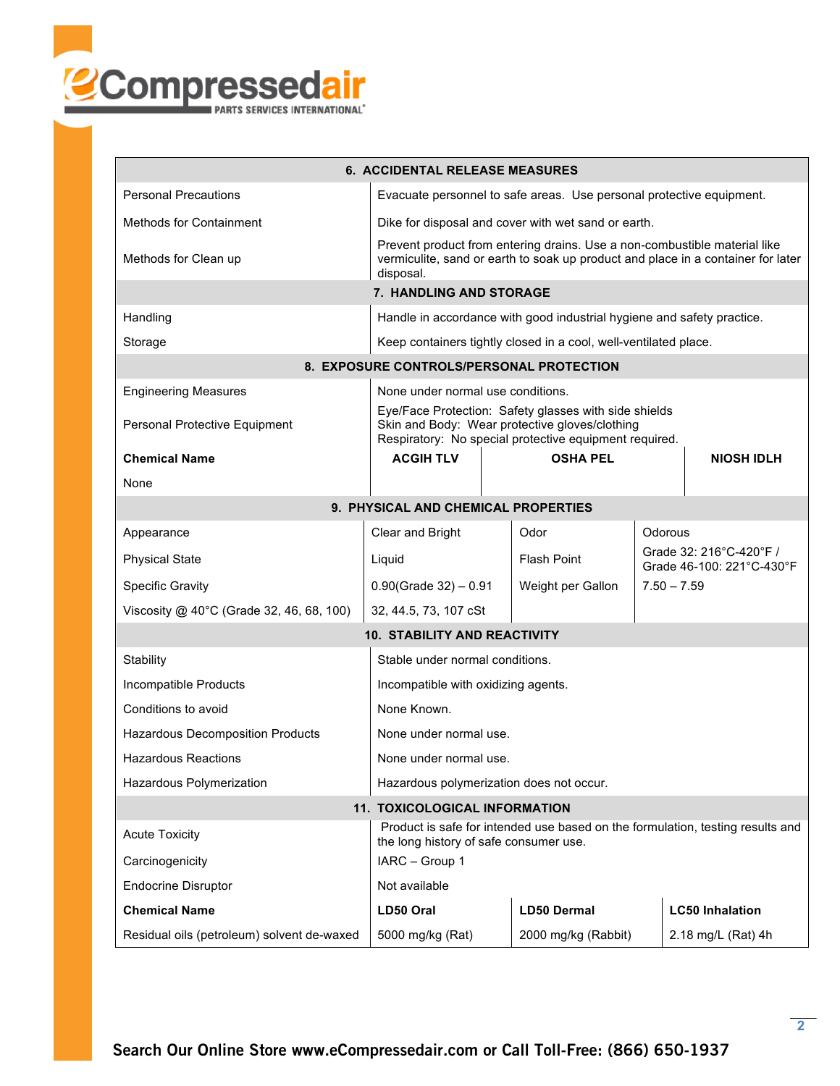

| <b>6. ACCIDENTAL RELEASE MEASURES</b>                                |                                                                                                                                                                            |                     |                                                      |                        |  |  |  |  |  |
|----------------------------------------------------------------------|----------------------------------------------------------------------------------------------------------------------------------------------------------------------------|---------------------|------------------------------------------------------|------------------------|--|--|--|--|--|
| <b>Personal Precautions</b>                                          | Evacuate personnel to safe areas. Use personal protective equipment.                                                                                                       |                     |                                                      |                        |  |  |  |  |  |
| <b>Methods for Containment</b>                                       | Dike for disposal and cover with wet sand or earth.                                                                                                                        |                     |                                                      |                        |  |  |  |  |  |
| Methods for Clean up                                                 | Prevent product from entering drains. Use a non-combustible material like<br>vermiculite, sand or earth to soak up product and place in a container for later<br>disposal. |                     |                                                      |                        |  |  |  |  |  |
| 7. HANDLING AND STORAGE                                              |                                                                                                                                                                            |                     |                                                      |                        |  |  |  |  |  |
| Handling                                                             | Handle in accordance with good industrial hygiene and safety practice.                                                                                                     |                     |                                                      |                        |  |  |  |  |  |
| Storage                                                              | Keep containers tightly closed in a cool, well-ventilated place.                                                                                                           |                     |                                                      |                        |  |  |  |  |  |
| 8. EXPOSURE CONTROLS/PERSONAL PROTECTION                             |                                                                                                                                                                            |                     |                                                      |                        |  |  |  |  |  |
| <b>Engineering Measures</b><br>None under normal use conditions.     |                                                                                                                                                                            |                     |                                                      |                        |  |  |  |  |  |
| Personal Protective Equipment                                        | Eye/Face Protection: Safety glasses with side shields<br>Skin and Body: Wear protective gloves/clothing<br>Respiratory: No special protective equipment required.          |                     |                                                      |                        |  |  |  |  |  |
| <b>Chemical Name</b>                                                 | <b>ACGIH TLV</b>                                                                                                                                                           | <b>OSHA PEL</b>     |                                                      | <b>NIOSH IDLH</b>      |  |  |  |  |  |
| None                                                                 |                                                                                                                                                                            |                     |                                                      |                        |  |  |  |  |  |
| 9. PHYSICAL AND CHEMICAL PROPERTIES                                  |                                                                                                                                                                            |                     |                                                      |                        |  |  |  |  |  |
| Appearance                                                           | Clear and Bright                                                                                                                                                           | Odor                | Odorous                                              |                        |  |  |  |  |  |
| <b>Physical State</b>                                                | Liquid                                                                                                                                                                     | <b>Flash Point</b>  | Grade 32: 216°C-420°F /<br>Grade 46-100: 221°C-430°F |                        |  |  |  |  |  |
| <b>Specific Gravity</b>                                              | $0.90$ (Grade 32) - 0.91                                                                                                                                                   | Weight per Gallon   | $7.50 - 7.59$                                        |                        |  |  |  |  |  |
| Viscosity $@$ 40°C (Grade 32, 46, 68, 100)                           | 32, 44.5, 73, 107 cSt                                                                                                                                                      |                     |                                                      |                        |  |  |  |  |  |
|                                                                      | <b>10. STABILITY AND REACTIVITY</b>                                                                                                                                        |                     |                                                      |                        |  |  |  |  |  |
| Stability                                                            | Stable under normal conditions.                                                                                                                                            |                     |                                                      |                        |  |  |  |  |  |
| Incompatible Products                                                | Incompatible with oxidizing agents.                                                                                                                                        |                     |                                                      |                        |  |  |  |  |  |
| Conditions to avoid                                                  | None Known.                                                                                                                                                                |                     |                                                      |                        |  |  |  |  |  |
| Hazardous Decomposition Products                                     | None under normal use.                                                                                                                                                     |                     |                                                      |                        |  |  |  |  |  |
| <b>Hazardous Reactions</b>                                           | None under normal use.                                                                                                                                                     |                     |                                                      |                        |  |  |  |  |  |
| Hazardous Polymerization<br>Hazardous polymerization does not occur. |                                                                                                                                                                            |                     |                                                      |                        |  |  |  |  |  |
|                                                                      | 11. TOXICOLOGICAL INFORMATION                                                                                                                                              |                     |                                                      |                        |  |  |  |  |  |
| <b>Acute Toxicity</b>                                                | Product is safe for intended use based on the formulation, testing results and<br>the long history of safe consumer use.                                                   |                     |                                                      |                        |  |  |  |  |  |
| Carcinogenicity                                                      | IARC - Group 1                                                                                                                                                             |                     |                                                      |                        |  |  |  |  |  |
| <b>Endocrine Disruptor</b>                                           | Not available                                                                                                                                                              |                     |                                                      |                        |  |  |  |  |  |
| <b>Chemical Name</b>                                                 | LD50 Oral                                                                                                                                                                  | <b>LD50 Dermal</b>  |                                                      | <b>LC50 Inhalation</b> |  |  |  |  |  |
| Residual oils (petroleum) solvent de-waxed                           | 5000 mg/kg (Rat)                                                                                                                                                           | 2000 mg/kg (Rabbit) |                                                      | 2.18 mg/L (Rat) 4h     |  |  |  |  |  |